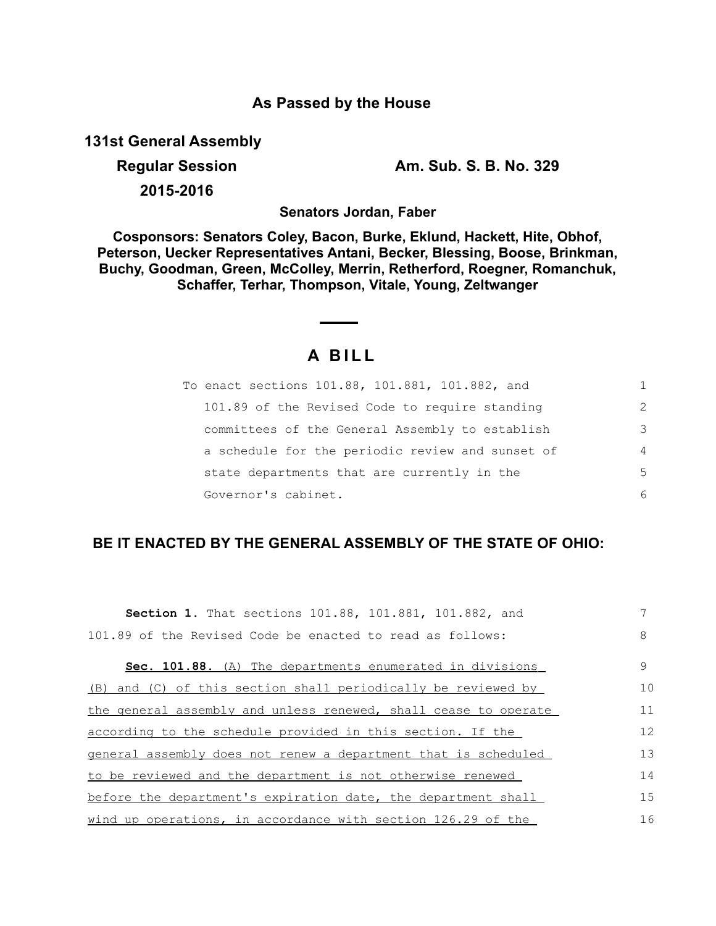## **As Passed by the House**

**131st General Assembly**

**2015-2016**

**Regular Session Am. Sub. S. B. No. 329**

**Senators Jordan, Faber**

**Cosponsors: Senators Coley, Bacon, Burke, Eklund, Hackett, Hite, Obhof, Peterson, Uecker Representatives Antani, Becker, Blessing, Boose, Brinkman, Buchy, Goodman, Green, McColley, Merrin, Retherford, Roegner, Romanchuk, Schaffer, Terhar, Thompson, Vitale, Young, Zeltwanger**

## **A B I L L**

| To enact sections 101.88, 101.881, 101.882, and  |                |
|--------------------------------------------------|----------------|
| 101.89 of the Revised Code to require standing   | $\mathcal{L}$  |
| committees of the General Assembly to establish  | 3              |
| a schedule for the periodic review and sunset of | $\overline{4}$ |
| state departments that are currently in the      | .5             |
| Governor's cabinet.                              | 6              |

## **BE IT ENACTED BY THE GENERAL ASSEMBLY OF THE STATE OF OHIO:**

| <b>Section 1.</b> That sections 101.88, 101.881, 101.882, and   |    |
|-----------------------------------------------------------------|----|
| 101.89 of the Revised Code be enacted to read as follows:       | 8  |
| Sec. 101.88. (A) The departments enumerated in divisions        | 9  |
| (B) and (C) of this section shall periodically be reviewed by   | 10 |
| the general assembly and unless renewed, shall cease to operate | 11 |
| according to the schedule provided in this section. If the      | 12 |
| general assembly does not renew a department that is scheduled  | 13 |
| to be reviewed and the department is not otherwise renewed      | 14 |
| before the department's expiration date, the department shall   | 15 |
| wind up operations, in accordance with section 126.29 of the    | 16 |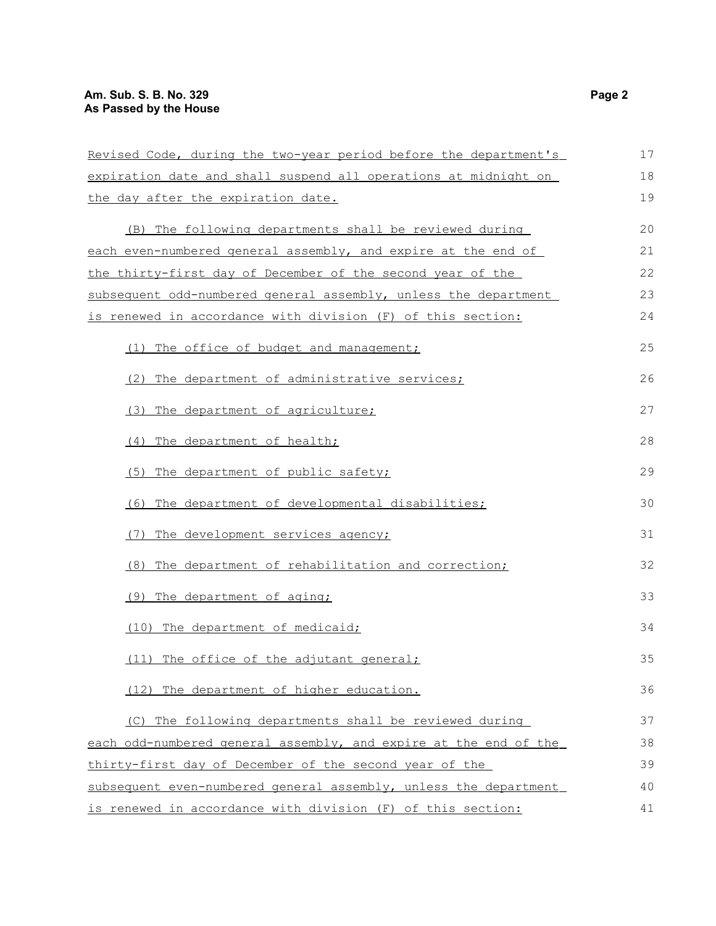| Revised Code, during the two-year period before the department's | 17 |
|------------------------------------------------------------------|----|
| expiration date and shall suspend all operations at midnight on  | 18 |
| the day after the expiration date.                               | 19 |
| (B) The following departments shall be reviewed during           | 20 |
| each even-numbered general assembly, and expire at the end of    | 21 |
| the thirty-first day of December of the second year of the       | 22 |
| subsequent odd-numbered general assembly, unless the department  | 23 |
| is renewed in accordance with division (F) of this section:      | 24 |
|                                                                  |    |
| (1) The office of budget and management;                         | 25 |
| (2) The department of administrative services;                   | 26 |
| (3) The department of agriculture;                               | 27 |
| (4) The department of health;                                    | 28 |
| (5) The department of public safety;                             | 29 |
| (6) The department of developmental disabilities;                | 30 |
| The development services agency;                                 | 31 |
| The department of rehabilitation and correction;<br>(8)          | 32 |
| (9) The department of aging;                                     | 33 |
| (10) The department of medicaid;                                 | 34 |
| (11) The office of the adjutant general;                         | 35 |
| (12) The department of higher education.                         | 36 |
| (C) The following departments shall be reviewed during           | 37 |
| each odd-numbered general assembly, and expire at the end of the | 38 |
| thirty-first day of December of the second year of the           | 39 |
| subsequent even-numbered general assembly, unless the department | 40 |
| is renewed in accordance with division (F) of this section:      | 41 |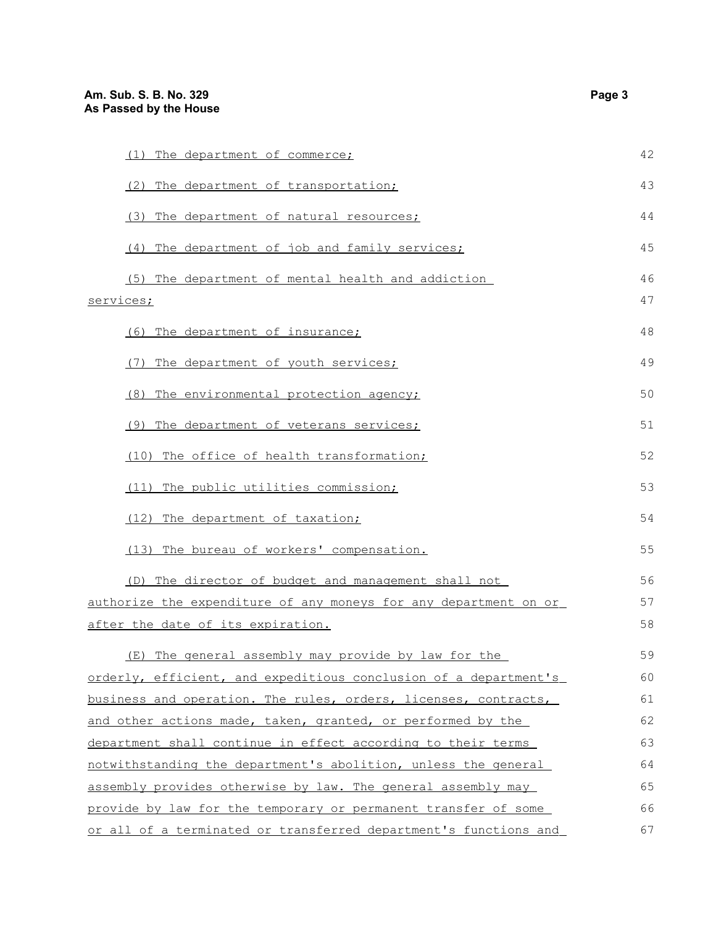| (1) The department of commerce;                                  | 42 |
|------------------------------------------------------------------|----|
| (2) The department of transportation;                            | 43 |
| (3) The department of natural resources;                         | 44 |
| (4) The department of job and family services;                   | 45 |
| (5) The department of mental health and addiction                | 46 |
| services;                                                        | 47 |
| (6) The department of insurance;                                 | 48 |
| (7) The department of youth services;                            | 49 |
| (8) The environmental protection agency;                         | 50 |
| (9) The department of veterans services;                         | 51 |
| The office of health transformation;<br>(10)                     | 52 |
| (11) The public utilities commission;                            | 53 |
| (12) The department of taxation;                                 | 54 |
| (13) The bureau of workers' compensation.                        | 55 |
| (D) The director of budget and management shall not              | 56 |
| authorize the expenditure of any moneys for any department on or | 57 |
| after the date of its expiration.                                | 58 |
| (E) The general assembly may provide by law for the              | 59 |
| orderly, efficient, and expeditious conclusion of a department's | 60 |
| business and operation. The rules, orders, licenses, contracts,  | 61 |
| and other actions made, taken, granted, or performed by the      | 62 |
| department shall continue in effect according to their terms     | 63 |
| notwithstanding the department's abolition, unless the general   | 64 |
| assembly provides otherwise by law. The general assembly may     | 65 |
| provide by law for the temporary or permanent transfer of some   | 66 |
| or all of a terminated or transferred department's functions and | 67 |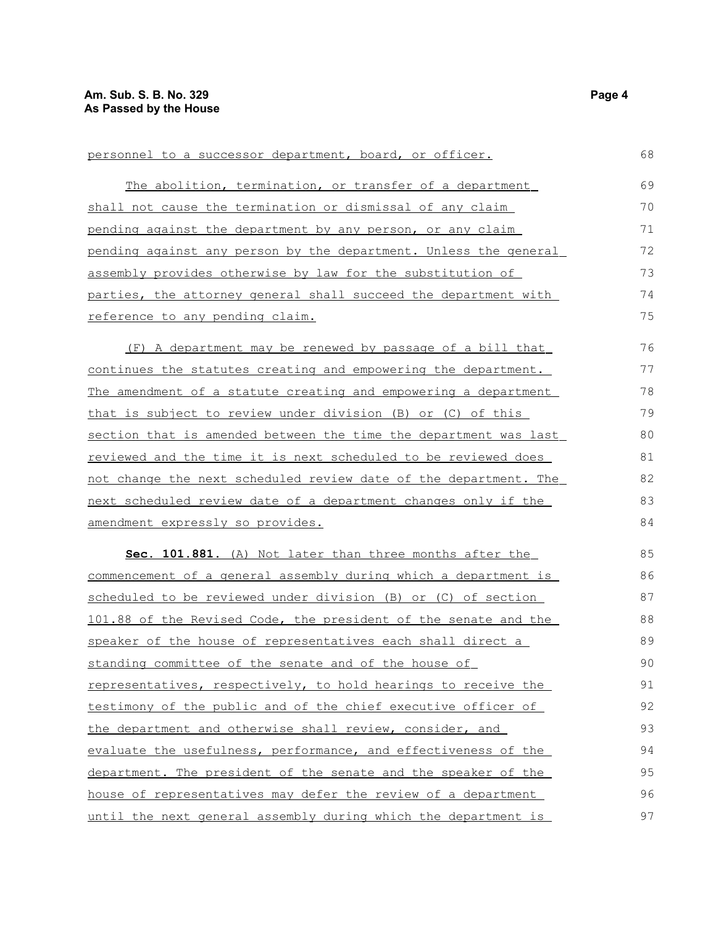| personnel to a successor department, board, or officer.          | 68 |
|------------------------------------------------------------------|----|
| The abolition, termination, or transfer of a department          | 69 |
| shall not cause the termination or dismissal of any claim        | 70 |
| pending against the department by any person, or any claim       | 71 |
| pending against any person by the department. Unless the general | 72 |
| assembly provides otherwise by law for the substitution of       | 73 |
| parties, the attorney general shall succeed the department with  | 74 |
| reference to any pending claim.                                  | 75 |
| (F) A department may be renewed by passage of a bill that        | 76 |
| continues the statutes creating and empowering the department.   | 77 |
| The amendment of a statute creating and empowering a department  | 78 |
| that is subject to review under division (B) or (C) of this      | 79 |
| section that is amended between the time the department was last | 80 |
| reviewed and the time it is next scheduled to be reviewed does   | 81 |
| not change the next scheduled review date of the department. The | 82 |
| next scheduled review date of a department changes only if the   | 83 |
| amendment expressly so provides.                                 | 84 |
| Sec. 101.881. (A) Not later than three months after the          | 85 |
| commencement of a general assembly during which a department is  | 86 |
| scheduled to be reviewed under division (B) or (C) of section    | 87 |
| 101.88 of the Revised Code, the president of the senate and the  | 88 |
| speaker of the house of representatives each shall direct a      | 89 |
| standing committee of the senate and of the house of             | 90 |
| representatives, respectively, to hold hearings to receive the   | 91 |
| testimony of the public and of the chief executive officer of    | 92 |
| the department and otherwise shall review, consider, and         | 93 |
| evaluate the usefulness, performance, and effectiveness of the   | 94 |
| department. The president of the senate and the speaker of the   | 95 |
| house of representatives may defer the review of a department    | 96 |
| until the next general assembly during which the department is   | 97 |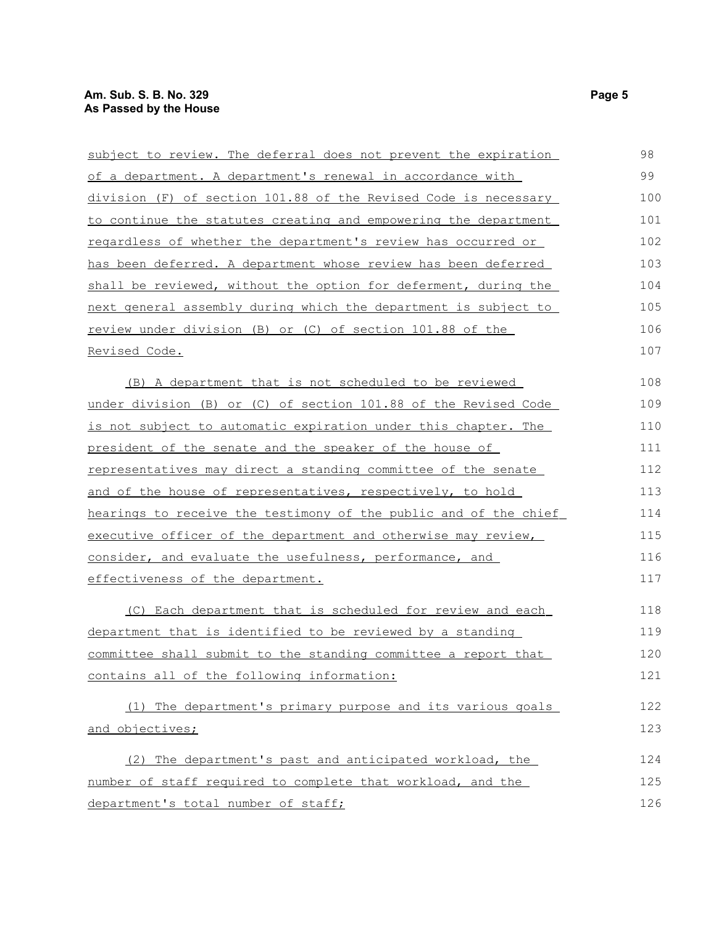| subject to review. The deferral does not prevent the expiration       | 98  |
|-----------------------------------------------------------------------|-----|
| of a department. A department's renewal in accordance with            | 99  |
| division (F) of section 101.88 of the Revised Code is necessary       | 100 |
| to continue the statutes creating and empowering the department       | 101 |
| <u>regardless of whether the department's review has occurred or</u>  | 102 |
| has been deferred. A department whose review has been deferred        | 103 |
| shall be reviewed, without the option for deferment, during the       | 104 |
| next general assembly during which the department is subject to       | 105 |
| review under division (B) or (C) of section 101.88 of the             | 106 |
| Revised Code.                                                         | 107 |
| (B) A department that is not scheduled to be reviewed                 | 108 |
| under division (B) or (C) of section 101.88 of the Revised Code       | 109 |
| <u>is not subject to automatic expiration under this chapter. The</u> | 110 |
| president of the senate and the speaker of the house of               | 111 |
| representatives may direct a standing committee of the senate         | 112 |
| and of the house of representatives, respectively, to hold            | 113 |
| hearings to receive the testimony of the public and of the chief      | 114 |
| executive officer of the department and otherwise may review,         | 115 |
| consider, and evaluate the usefulness, performance, and               | 116 |
| effectiveness of the department.                                      | 117 |
| (C) Each department that is scheduled for review and each             | 118 |
| department that is identified to be reviewed by a standing            | 119 |
| committee shall submit to the standing committee a report that        | 120 |
| contains all of the following information:                            | 121 |
| (1) The department's primary purpose and its various goals            | 122 |
| and objectives;                                                       | 123 |
| (2) The department's past and anticipated workload, the               | 124 |
| number of staff required to complete that workload, and the           | 125 |
| department's total number of staff;                                   | 126 |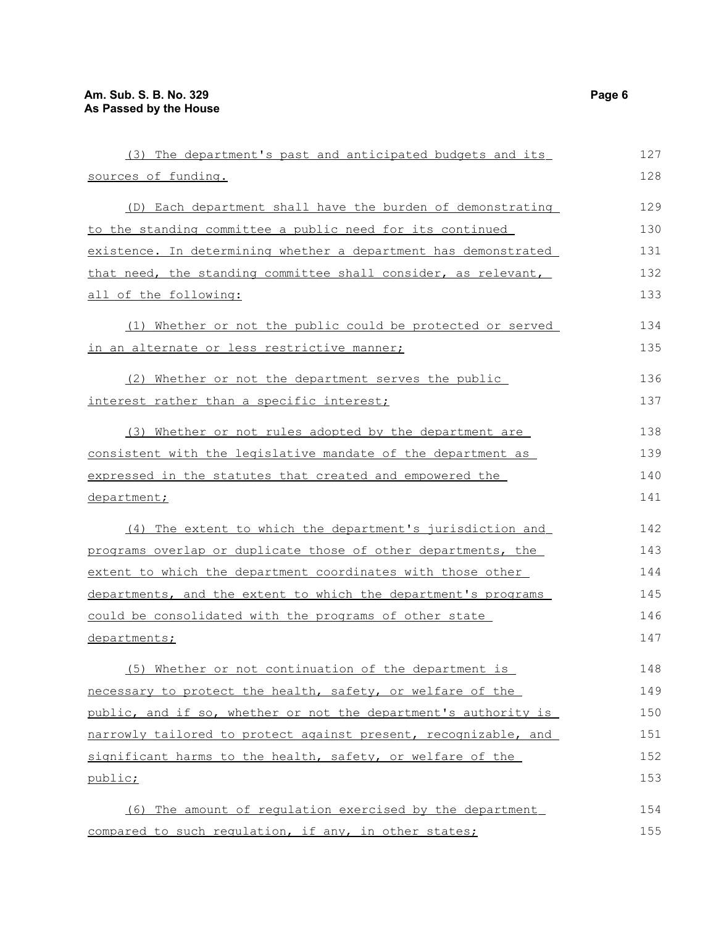| (3) The department's past and anticipated budgets and its       | 127 |
|-----------------------------------------------------------------|-----|
| sources of funding.                                             | 128 |
| (D) Each department shall have the burden of demonstrating      | 129 |
| to the standing committee a public need for its continued       | 130 |
| existence. In determining whether a department has demonstrated | 131 |
| that need, the standing committee shall consider, as relevant,  | 132 |
| all of the following:                                           | 133 |
| Whether or not the public could be protected or served<br>(1)   | 134 |
| <u>in an alternate or less restrictive manner;</u>              | 135 |
| (2) Whether or not the department serves the public             | 136 |
| interest rather than a specific interest;                       | 137 |
| (3) Whether or not rules adopted by the department are          | 138 |
| consistent with the legislative mandate of the department as    | 139 |
| expressed in the statutes that created and empowered the        | 140 |
| department;                                                     | 141 |
| (4) The extent to which the department's jurisdiction and       | 142 |
| programs overlap or duplicate those of other departments, the   | 143 |
| extent to which the department coordinates with those other     | 144 |
| departments, and the extent to which the department's programs  | 145 |
| could be consolidated with the programs of other state          | 146 |
| <u>departments;</u>                                             | 147 |
| (5) Whether or not continuation of the department is            | 148 |
| necessary to protect the health, safety, or welfare of the      | 149 |
| public, and if so, whether or not the department's authority is | 150 |
| narrowly tailored to protect against present, recognizable, and | 151 |
| significant harms to the health, safety, or welfare of the      | 152 |
| public;                                                         | 153 |
| (6) The amount of regulation exercised by the department        | 154 |
| compared to such regulation, if any, in other states;           | 155 |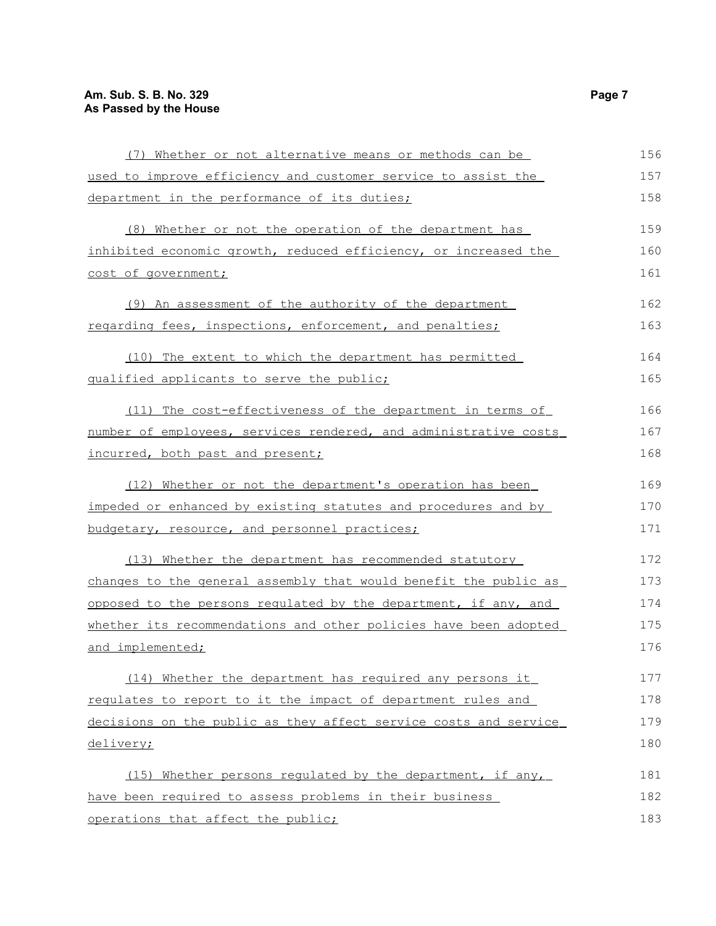| (7) Whether or not alternative means or methods can be           | 156 |
|------------------------------------------------------------------|-----|
| used to improve efficiency and customer service to assist the    | 157 |
| department in the performance of its duties;                     | 158 |
| (8) Whether or not the operation of the department has           | 159 |
| inhibited economic growth, reduced efficiency, or increased the  | 160 |
| cost of government;                                              | 161 |
| (9) An assessment of the authority of the department             | 162 |
| regarding fees, inspections, enforcement, and penalties;         | 163 |
| (10) The extent to which the department has permitted            | 164 |
| qualified applicants to serve the public;                        | 165 |
| (11) The cost-effectiveness of the department in terms of        | 166 |
| number of employees, services rendered, and administrative costs | 167 |
| incurred, both past and present;                                 | 168 |
| (12) Whether or not the department's operation has been          | 169 |
| impeded or enhanced by existing statutes and procedures and by   | 170 |
| budgetary, resource, and personnel practices;                    | 171 |
| (13) Whether the department has recommended statutory            | 172 |
| changes to the general assembly that would benefit the public as | 173 |
| opposed to the persons regulated by the department, if any, and  | 174 |
| whether its recommendations and other policies have been adopted | 175 |
| and implemented;                                                 | 176 |
| (14) Whether the department has required any persons it          | 177 |
| requlates to report to it the impact of department rules and     | 178 |
| decisions on the public as they affect service costs and service | 179 |
| delivery;                                                        | 180 |
| (15) Whether persons regulated by the department, if any,        | 181 |
| have been required to assess problems in their business          | 182 |
| operations that affect the public;                               | 183 |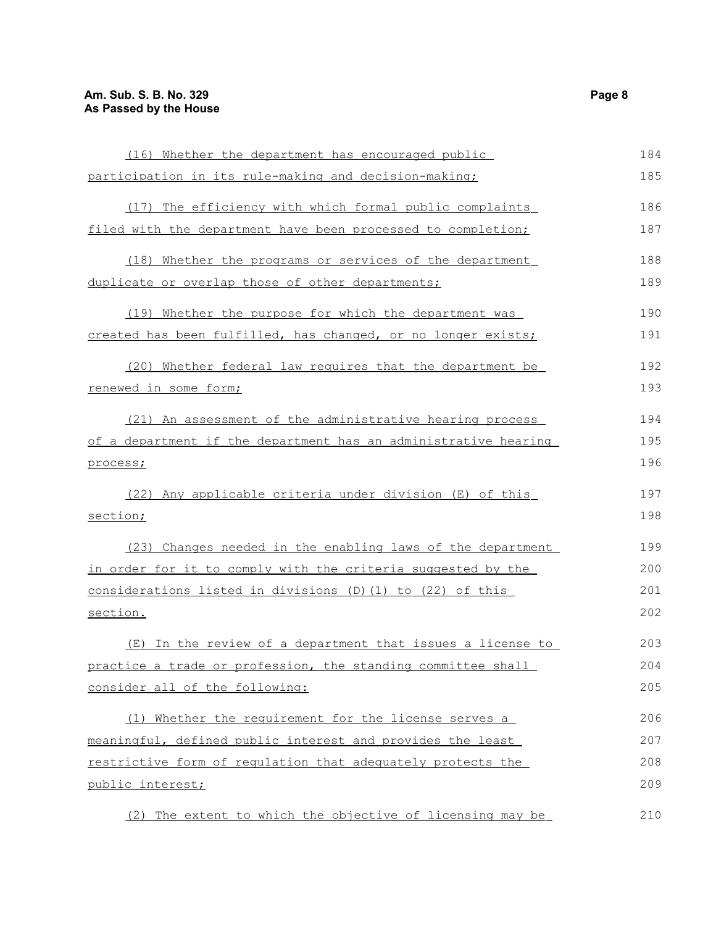| (16) Whether the department has encouraged public               | 184 |
|-----------------------------------------------------------------|-----|
| participation in its rule-making and decision-making;           | 185 |
| (17) The efficiency with which formal public complaints         | 186 |
| filed with the department have been processed to completion;    | 187 |
| (18) Whether the programs or services of the department         | 188 |
| duplicate or overlap those of other departments;                | 189 |
| (19) Whether the purpose for which the department was           | 190 |
| created has been fulfilled, has changed, or no longer exists;   | 191 |
| (20) Whether federal law requires that the department be        | 192 |
| renewed in some form;                                           | 193 |
| (21) An assessment of the administrative hearing process        | 194 |
| of a department if the department has an administrative hearing | 195 |
| process;                                                        | 196 |
| (22) Any applicable criteria under division (E) of this         | 197 |
| section;                                                        | 198 |
| (23) Changes needed in the enabling laws of the department      | 199 |
| in order for it to comply with the criteria suggested by the    | 200 |
| considerations listed in divisions (D) (1) to (22) of this      | 201 |
| section.                                                        | 202 |
| (E) In the review of a department that issues a license to      | 203 |
| practice a trade or profession, the standing committee shall    | 204 |
| consider all of the following:                                  | 205 |
| (1) Whether the requirement for the license serves a            | 206 |
| meaningful, defined public interest and provides the least      | 207 |
| restrictive form of requlation that adequately protects the     | 208 |
| public interest;                                                | 209 |
| (2) The extent to which the objective of licensing may be       | 210 |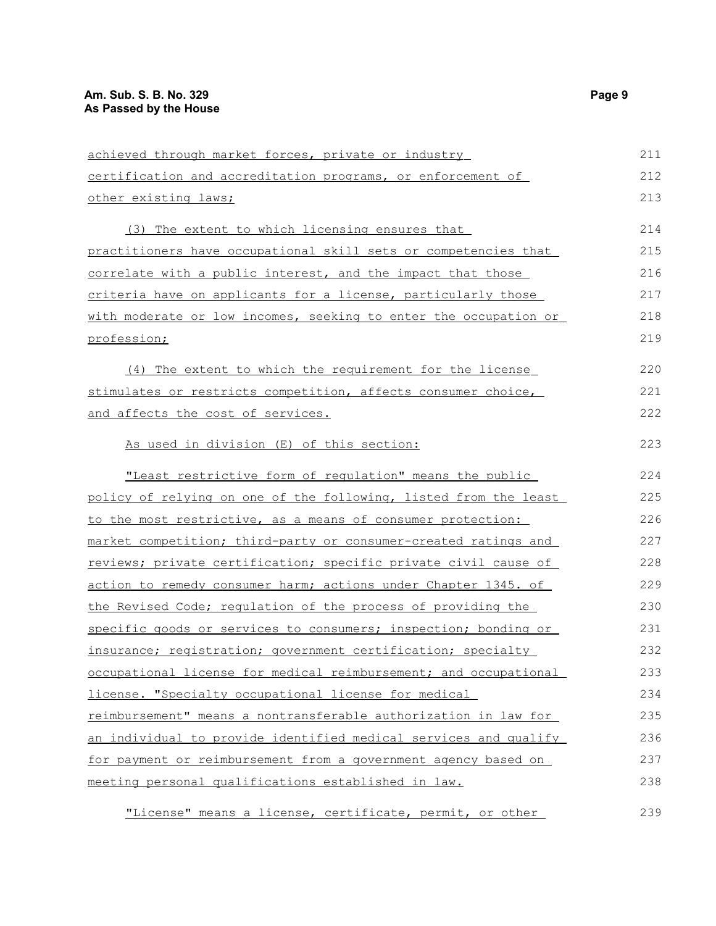| achieved through market forces, private or industry              | 211 |
|------------------------------------------------------------------|-----|
| certification and accreditation programs, or enforcement of      | 212 |
| other existing laws;                                             | 213 |
| (3) The extent to which licensing ensures that                   | 214 |
| practitioners have occupational skill sets or competencies that  | 215 |
| correlate with a public interest, and the impact that those      | 216 |
| criteria have on applicants for a license, particularly those    | 217 |
| with moderate or low incomes, seeking to enter the occupation or | 218 |
| profession;                                                      | 219 |
| (4) The extent to which the requirement for the license          | 220 |
| stimulates or restricts competition, affects consumer choice,    | 221 |
| and affects the cost of services.                                | 222 |
| As used in division (E) of this section:                         | 223 |
| "Least restrictive form of requlation" means the public          | 224 |
| policy of relying on one of the following, listed from the least | 225 |
| to the most restrictive, as a means of consumer protection:      | 226 |
| market competition; third-party or consumer-created ratings and  | 227 |
| reviews; private certification; specific private civil cause of  | 228 |
| action to remedy consumer harm; actions under Chapter 1345. of   | 229 |
| the Revised Code; regulation of the process of providing the     | 230 |
| specific goods or services to consumers; inspection; bonding or  | 231 |
| insurance; registration; government certification; specialty     | 232 |
| occupational license for medical reimbursement; and occupational | 233 |
| license. "Specialty occupational license for medical             | 234 |
| reimbursement" means a nontransferable authorization in law for  | 235 |
| an individual to provide identified medical services and qualify | 236 |
| for payment or reimbursement from a government agency based on   | 237 |
| meeting personal qualifications established in law.              | 238 |
| "License" means a license, certificate, permit, or other         | 239 |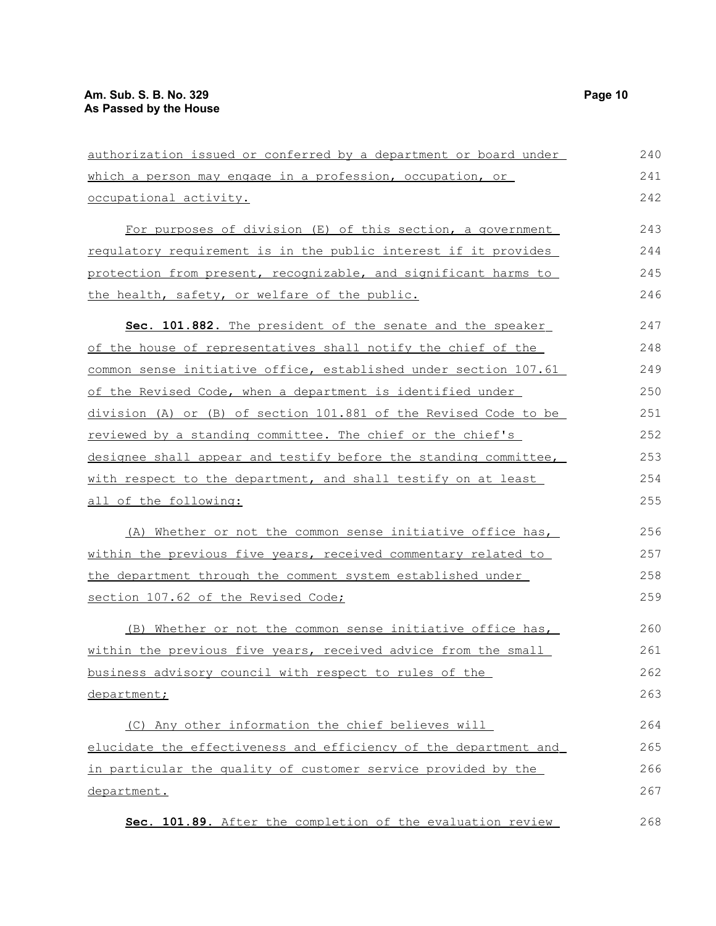| authorization issued or conferred by a department or board under | 240 |
|------------------------------------------------------------------|-----|
| which a person may engage in a profession, occupation, or        | 241 |
| occupational activity.                                           | 242 |
| For purposes of division (E) of this section, a government       | 243 |
| requlatory requirement is in the public interest if it provides  | 244 |
| protection from present, recognizable, and significant harms to  | 245 |
| the health, safety, or welfare of the public.                    | 246 |
| Sec. 101.882. The president of the senate and the speaker        | 247 |
| of the house of representatives shall notify the chief of the    | 248 |
| common sense initiative office, established under section 107.61 | 249 |
| of the Revised Code, when a department is identified under       | 250 |
| division (A) or (B) of section 101.881 of the Revised Code to be | 251 |
| reviewed by a standing committee. The chief or the chief's       | 252 |
| designee shall appear and testify before the standing committee, | 253 |
| with respect to the department, and shall testify on at least    | 254 |
| <u>all of the following:</u>                                     | 255 |
| (A) Whether or not the common sense initiative office has,       | 256 |
| within the previous five years, received commentary related to   | 257 |
| the department through the comment system established under      | 258 |
| section 107.62 of the Revised Code;                              | 259 |
| (B) Whether or not the common sense initiative office has,       | 260 |
| within the previous five years, received advice from the small   | 261 |
| business advisory council with respect to rules of the           | 262 |
| department;                                                      | 263 |
| (C) Any other information the chief believes will                | 264 |
| elucidate the effectiveness and efficiency of the department and | 265 |
| in particular the quality of customer service provided by the    | 266 |
| department.                                                      | 267 |
| Sec. 101.89. After the completion of the evaluation review       | 268 |